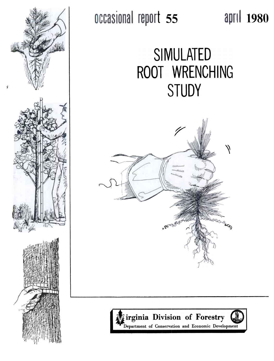

## occasional report 55

# SIMULATED ROOT WRENCHING STUDY

april 1980



irginia Division of Forestry Department of Conservation and Economic Development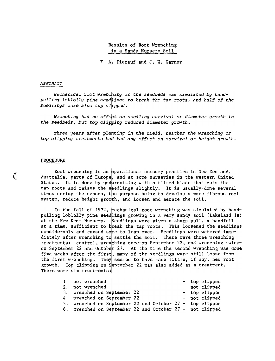### Results of Root Wrenching in a Sandy Nursery Soil

'r AI. Dierauf and J. W. Garner

#### ABSTRACT

Mechanical root wrenching in the seedbeds was simulated by handpulling loblolly pine seedlings to break the tap roots, and half of the seedlings were also top clipped.

Wrenching had no effect on seedling survival or diameter growth in the seedbeds, but top clipping reduced diameter growth.

Three years after planting in the field, neither the wrenching or top clipping treatments had had any effect on survival or height growth.

#### PROCEDURE

 $\left($ 

Root wrenching is an operational nursery practice in New Zealand, Australia, parts of Europe, and at some nurseries in the western United States. It is done by undercutting with a tilted blade that cuts the tap roots and raises the seedlings slightly. It is usually done several times during the season, the purpose being to develop a more fibrous root system, reduce height growth, and loosen and aerate the soil.

In the fall of 1972, mechanical root wrenching was simulated by handpulling loblolly pine seedlings growing in a very sandy soil (Lakeland 1s) at the New Kent Nursery. Seedlings were given a sharp pull, a handfull at a time, sufficient to break the tap roots. This loosened the seedlings considerably and caused some to lean over. Seedlings were watered immediately after wrenching to settle the soil. There were three wrenching treatments: control, wrenching once-on September 22, and wrenching twiceon September 22 and October 27. At the time the second wrenching was done five weeks after the first, many of the seedlings were still loose from the first wrenching. They seemed to have made little, if any, new root growth. Top clipping on September 22 was also added as a treatment. There were six treatments:

| 1. not wrenched                                          |  |  |  | - top clipped |
|----------------------------------------------------------|--|--|--|---------------|
| 2. not wrenched                                          |  |  |  | - not clipped |
| 3. wrenched on September 22                              |  |  |  | - top clipped |
| 4. wrenched on September 22                              |  |  |  | - not clipped |
| 5. wrenched on September 22 and October 27 - top clipped |  |  |  |               |
| 6. wrenched on September 22 and October 27 - not clipped |  |  |  |               |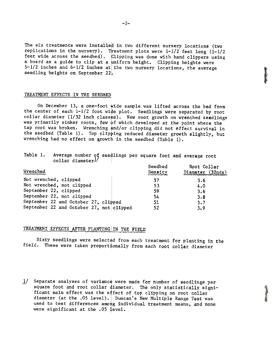The six treatments were installed in two different nursery locations (two replications in the nursery). Treatment plots were  $1-1/2$  feet long  $(1-1/2)$ feet wide across the seedbed). Clipping was done with hand clippers using a board as a guide to clip at a uniform height. Clipping heights were 5-1/2 inches and  $6-1/2$  inches at the two nursery locations, the average seedling heights on September 22.

#### TREATMENT EFFECTS IN THE SEEDBED

On December 13, a one-foot wide sample was lifted across the bed from the center of each  $1-1/2$  foot wide plot. Seedlings were separated by root collar diameter ( $1/32$  inch classes). New root growth on wrenched seedlings was primarily sinker roots, few  $\phi$ f which developed at the point where the tap root was broken. Wrenching and/or clipping did not effect survival in the seedbed (Table 1). Top clipping reduced diameter growth slightly, but wrenching had no effect on growth in the seedbed (Table 1).

| Table 1. Average number of seedlings per square foot and average root |                              |  |  |  |  |  |
|-----------------------------------------------------------------------|------------------------------|--|--|--|--|--|
|                                                                       | collar diameter <sup>1</sup> |  |  |  |  |  |

| Wrenched                                 | Seedbed<br>Density | Root Collar<br>Diameter (32nds) |  |  |
|------------------------------------------|--------------------|---------------------------------|--|--|
| Not wrenched, clipped                    | 57                 | 3.6                             |  |  |
| Not wrenched, not clipped                | - 53               | 4.0                             |  |  |
| September 22, clipped                    | 59                 | 3.6                             |  |  |
| September 22, not clipped                | 54                 | 3.8                             |  |  |
| September 22 and October 27, clipped     | 51                 | 3.7                             |  |  |
| September 22 and October 27, not clipped | 52                 | 3.9                             |  |  |

## TREATMENT EFFECTS AFTER PLANTING IN THE FIELD

Sixty seedlings were selected from each treatment for planting in the field. These were taken proportionally from each root collar diameter

 $1/$  Separate analyses of variance were made for number of seedlings per square foot and root collar diameter. The only statistically significant main effect was the effect of top clipping on root collar diameter (at the .05 level). Duncan's New Multiple Range Test was used to test differences among individual treatment means, and none were significant at the .05  $l$ evel.